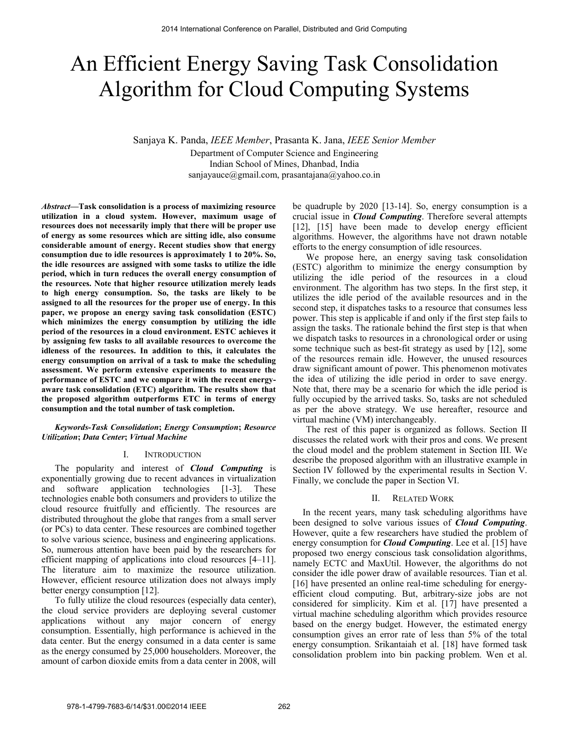# An Efficient Energy Saving Task Consolidation Algorithm for Cloud Computing Systems

Sanjaya K. Panda, *IEEE Member*, Prasanta K. Jana, *IEEE Senior Member* Department of Computer Science and Engineering Indian School of Mines, Dhanbad, India sanjayauce@gmail.com, prasantajana@yahoo.co.in

*Abstract***—Task consolidation is a process of maximizing resource utilization in a cloud system. However, maximum usage of resources does not necessarily imply that there will be proper use of energy as some resources which are sitting idle, also consume considerable amount of energy. Recent studies show that energy consumption due to idle resources is approximately 1 to 20%. So, the idle resources are assigned with some tasks to utilize the idle period, which in turn reduces the overall energy consumption of the resources. Note that higher resource utilization merely leads to high energy consumption. So, the tasks are likely to be assigned to all the resources for the proper use of energy. In this paper, we propose an energy saving task consolidation (ESTC) which minimizes the energy consumption by utilizing the idle period of the resources in a cloud environment. ESTC achieves it by assigning few tasks to all available resources to overcome the idleness of the resources. In addition to this, it calculates the energy consumption on arrival of a task to make the scheduling assessment. We perform extensive experiments to measure the performance of ESTC and we compare it with the recent energyaware task consolidation (ETC) algorithm. The results show that the proposed algorithm outperforms ETC in terms of energy consumption and the total number of task completion.** 

# *Keywords-Task Consolidation***;** *Energy Consumption***;** *Resource Utilization***;** *Data Center***;** *Virtual Machine*

# I. INTRODUCTION

The popularity and interest of *Cloud Computing* is exponentially growing due to recent advances in virtualization and software application technologies [1-3]. These technologies enable both consumers and providers to utilize the cloud resource fruitfully and efficiently. The resources are distributed throughout the globe that ranges from a small server (or PCs) to data center. These resources are combined together to solve various science, business and engineering applications. So, numerous attention have been paid by the researchers for efficient mapping of applications into cloud resources [4–11]. The literature aim to maximize the resource utilization. However, efficient resource utilization does not always imply better energy consumption [12].

To fully utilize the cloud resources (especially data center), the cloud service providers are deploying several customer applications without any major concern of energy consumption. Essentially, high performance is achieved in the data center. But the energy consumed in a data center is same as the energy consumed by 25,000 householders. Moreover, the amount of carbon dioxide emits from a data center in 2008, will be quadruple by 2020 [13-14]. So, energy consumption is a crucial issue in *Cloud Computing*. Therefore several attempts [12], [15] have been made to develop energy efficient algorithms. However, the algorithms have not drawn notable efforts to the energy consumption of idle resources.

We propose here, an energy saving task consolidation (ESTC) algorithm to minimize the energy consumption by utilizing the idle period of the resources in a cloud environment. The algorithm has two steps. In the first step, it utilizes the idle period of the available resources and in the second step, it dispatches tasks to a resource that consumes less power. This step is applicable if and only if the first step fails to assign the tasks. The rationale behind the first step is that when we dispatch tasks to resources in a chronological order or using some technique such as best-fit strategy as used by [12], some of the resources remain idle. However, the unused resources draw significant amount of power. This phenomenon motivates the idea of utilizing the idle period in order to save energy. Note that, there may be a scenario for which the idle period is fully occupied by the arrived tasks. So, tasks are not scheduled as per the above strategy. We use hereafter, resource and virtual machine (VM) interchangeably.

The rest of this paper is organized as follows. Section II discusses the related work with their pros and cons. We present the cloud model and the problem statement in Section III. We describe the proposed algorithm with an illustrative example in Section IV followed by the experimental results in Section V. Finally, we conclude the paper in Section VI.

# II. RELATED WORK

In the recent years, many task scheduling algorithms have been designed to solve various issues of *Cloud Computing*. However, quite a few researchers have studied the problem of energy consumption for *Cloud Computing*. Lee et al. [15] have proposed two energy conscious task consolidation algorithms, namely ECTC and MaxUtil. However, the algorithms do not consider the idle power draw of available resources. Tian et al. [16] have presented an online real-time scheduling for energyefficient cloud computing. But, arbitrary-size jobs are not considered for simplicity. Kim et al. [17] have presented a virtual machine scheduling algorithm which provides resource based on the energy budget. However, the estimated energy consumption gives an error rate of less than 5% of the total energy consumption. Srikantaiah et al. [18] have formed task consolidation problem into bin packing problem. Wen et al.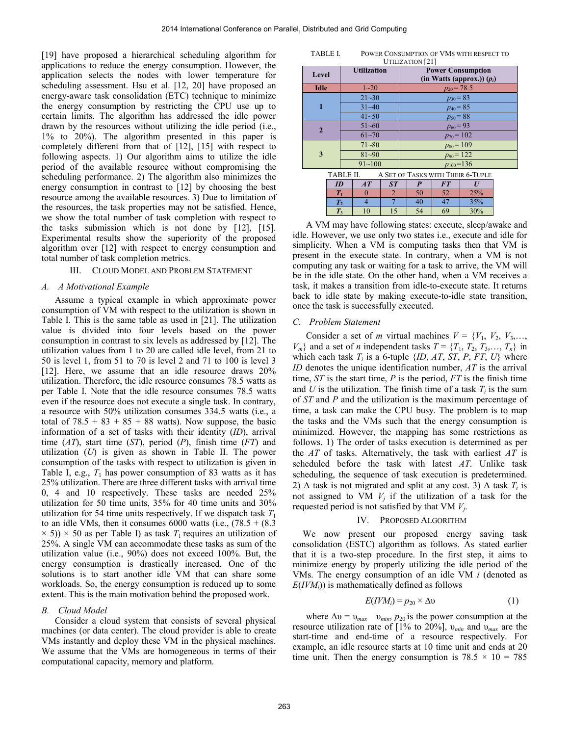[19] have proposed a hierarchical scheduling algorithm for applications to reduce the energy consumption. However, the application selects the nodes with lower temperature for scheduling assessment. Hsu et al. [12, 20] have proposed an energy-aware task consolidation (ETC) technique to minimize the energy consumption by restricting the CPU use up to certain limits. The algorithm has addressed the idle power drawn by the resources without utilizing the idle period (i.e., 1% to 20%). The algorithm presented in this paper is completely different from that of [12], [15] with respect to following aspects. 1) Our algorithm aims to utilize the idle period of the available resource without compromising the scheduling performance. 2) The algorithm also minimizes the energy consumption in contrast to [12] by choosing the best resource among the available resources. 3) Due to limitation of the resources, the task properties may not be satisfied. Hence, we show the total number of task completion with respect to the tasks submission which is not done by [12], [15]. Experimental results show the superiority of the proposed algorithm over [12] with respect to energy consumption and total number of task completion metrics.

# III. CLOUD MODEL AND PROBLEM STATEMENT

# *A. A Motivational Example*

Assume a typical example in which approximate power consumption of VM with respect to the utilization is shown in Table I. This is the same table as used in [21]. The utilization value is divided into four levels based on the power consumption in contrast to six levels as addressed by [12]. The utilization values from 1 to 20 are called idle level, from 21 to 50 is level 1, from 51 to 70 is level 2 and 71 to 100 is level 3 [12]. Here, we assume that an idle resource draws 20% utilization. Therefore, the idle resource consumes 78.5 watts as per Table I. Note that the idle resource consumes 78.5 watts even if the resource does not execute a single task. In contrary, a resource with 50% utilization consumes 334.5 watts (i.e., a total of  $78.5 + 83 + 85 + 88$  watts). Now suppose, the basic information of a set of tasks with their identity (*ID*), arrival time (*AT*), start time (*ST*), period (*P*), finish time (*FT*) and utilization (*U*) is given as shown in Table II. The power consumption of the tasks with respect to utilization is given in Table I, e.g.,  $T_1$  has power consumption of 83 watts as it has 25% utilization. There are three different tasks with arrival time 0, 4 and 10 respectively. These tasks are needed 25% utilization for 50 time units, 35% for 40 time units and 30% utilization for 54 time units respectively. If we dispatch task  $T_1$ to an idle VMs, then it consumes  $6000$  watts (i.e.,  $(78.5 + (8.3$ )  $\times$  5))  $\times$  50 as per Table I) as task  $T_1$  requires an utilization of 25%. A single VM can accommodate these tasks as sum of the utilization value (i.e., 90%) does not exceed 100%. But, the energy consumption is drastically increased. One of the solutions is to start another idle VM that can share some workloads. So, the energy consumption is reduced up to some extent. This is the main motivation behind the proposed work.

#### *B. Cloud Model*

Consider a cloud system that consists of several physical machines (or data center). The cloud provider is able to create VMs instantly and deploy these VM in the physical machines. We assume that the VMs are homogeneous in terms of their computational capacity, memory and platform.

TABLE I. POWER CONSUMPTION OF VMS WITH RESPECT TO UTILIZATION<sup>[21]</sup>

| Level          | <b>Utilization</b> | <b>Power Consumption</b><br>(in Watts (approx.)) $(p_i)$ |  |  |  |
|----------------|--------------------|----------------------------------------------------------|--|--|--|
| <b>Idle</b>    | $1 - 20$           | $p_{20} = 78.5$                                          |  |  |  |
|                | $21 - 30$          | $p_{30} = 83$                                            |  |  |  |
| 1              | $31 - 40$          | $p_{40} = 85$                                            |  |  |  |
|                | $41 - 50$          | $p_{50} = 88$                                            |  |  |  |
| $\overline{2}$ | $51 - 60$          | $p_{60} = 93$                                            |  |  |  |
|                | $61 - 70$          | $p_{70} = 102$                                           |  |  |  |
|                | $71 - 80$          | $p_{80} = 109$                                           |  |  |  |
| 3              | $81 - 90$          | $p_{90} = 122$                                           |  |  |  |
|                | $91 - 100$         | $p_{100} = 136$                                          |  |  |  |
|                | TARI E II          | A CET OF TACVS WITH THEID 6 THDIE                        |  |  |  |

| <b>TABLE II</b> | A SET OF TASKS WITH THEIR 6-TUPLE |    |    |     |  |  |  |
|-----------------|-----------------------------------|----|----|-----|--|--|--|
| ID              |                                   |    | F7 |     |  |  |  |
|                 |                                   |    | 52 | 25% |  |  |  |
|                 |                                   |    | 47 | 35% |  |  |  |
| $\mathbf{I}$    |                                   | 54 | 69 | 30% |  |  |  |

A VM may have following states: execute, sleep/awake and idle. However, we use only two states i.e., execute and idle for simplicity. When a VM is computing tasks then that VM is present in the execute state. In contrary, when a VM is not computing any task or waiting for a task to arrive, the VM will be in the idle state. On the other hand, when a VM receives a task, it makes a transition from idle-to-execute state. It returns back to idle state by making execute-to-idle state transition, once the task is successfully executed.

# *C. Problem Statement*

Consider a set of *m* virtual machines  $V = \{V_1, V_2, V_3, \ldots, V_n\}$  $V_m$ } and a set of *n* independent tasks  $T = \{T_1, T_2, T_3, \ldots, T_n\}$  in which each task  $T_i$  is a 6-tuple  $\{ID, AT, ST, P, FT, U\}$  where *ID* denotes the unique identification number, *AT* is the arrival time, *ST* is the start time, *P* is the period, *FT* is the finish time and *U* is the utilization. The finish time of a task  $T_i$  is the sum of *ST* and *P* and the utilization is the maximum percentage of time, a task can make the CPU busy. The problem is to map the tasks and the VMs such that the energy consumption is minimized. However, the mapping has some restrictions as follows. 1) The order of tasks execution is determined as per the *AT* of tasks. Alternatively, the task with earliest *AT* is scheduled before the task with latest *AT*. Unlike task scheduling, the sequence of task execution is predetermined. 2) A task is not migrated and split at any cost. 3) A task  $T_i$  is not assigned to VM  $V_i$  if the utilization of a task for the requested period is not satisfied by that VM *Vj*.

# IV. PROPOSED ALGORITHM

We now present our proposed energy saving task consolidation (ESTC) algorithm as follows. As stated earlier that it is a two-step procedure. In the first step, it aims to minimize energy by properly utilizing the idle period of the VMs. The energy consumption of an idle VM *i* (denoted as  $E(IVM<sub>i</sub>)$ ) is mathematically defined as follows

$$
E(IVMi) = p20 \times \Delta v
$$
 (1)

where  $\Delta v = v_{max} - v_{min}$ ,  $p_{20}$  is the power consumption at the resource utilization rate of  $[1\%$  to 20%],  $v_{min}$  and  $v_{max}$  are the start-time and end-time of a resource respectively. For example, an idle resource starts at 10 time unit and ends at 20 time unit. Then the energy consumption is  $78.5 \times 10 = 785$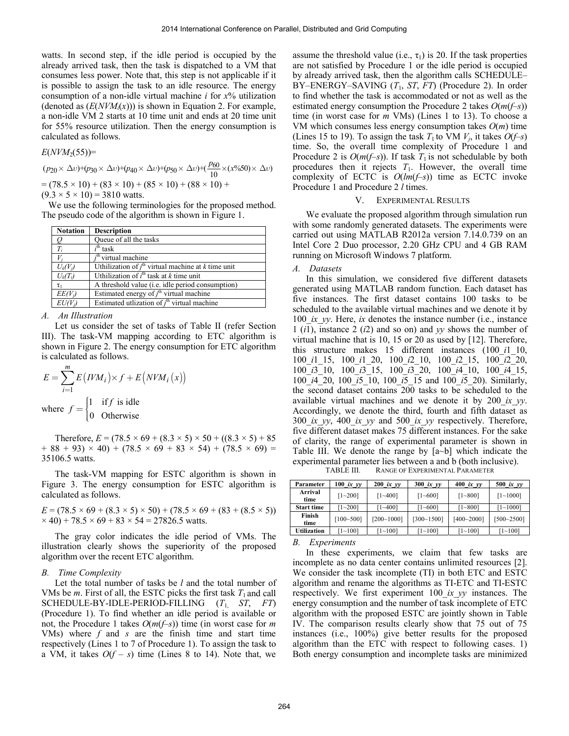watts. In second step, if the idle period is occupied by the already arrived task, then the task is dispatched to a VM that consumes less power. Note that, this step is not applicable if it is possible to assign the task to an idle resource. The energy consumption of a non-idle virtual machine *i* for *x*% utilization (denoted as  $(E(NVM<sub>i</sub>(x)))$  is shown in Equation 2. For example, a non-idle VM 2 starts at 10 time unit and ends at 20 time unit for 55% resource utilization. Then the energy consumption is calculated as follows.

$$
E(NVM_2(55))=
$$

$$
(p_{20} \times \Delta v) + (p_{30} \times \Delta v) + (p_{40} \times \Delta v) + (p_{50} \times \Delta v) + (\frac{p_{60}}{10} \times (x\%50) \times \Delta v)
$$
  
= (78.5 × 10) + (83 × 10) + (85 × 10) + (88 × 10) +  
(9.3 × 5 × 10) = 3810 watts.

 We use the following terminologies for the proposed method. The pseudo code of the algorithm is shown in Figure 1.

| <b>Notation</b> | <b>Description</b>                                             |
|-----------------|----------------------------------------------------------------|
|                 | Queue of all the tasks                                         |
| $T_i$           | $ith$ task                                                     |
|                 | i <sup>th</sup> virtual machine                                |
| $U_k(V_i)$      | Uthilization of $j^{\text{th}}$ virtual machine at k time unit |
| $U_k(T_i)$      | Uthilization of $ith$ task at k time unit                      |
|                 | A threshold value ( <i>i.e.</i> idle period consumption)       |
| $EE(V_i)$       | Estimated energy of $jth$ virtual machine                      |
| $EU(V_i)$       | Estimated utilization of $j^{\text{th}}$ virtual machine       |

#### *A. An Illustration*

Let us consider the set of tasks of Table II (refer Section III). The task-VM mapping according to ETC algorithm is shown in Figure 2. The energy consumption for ETC algorithm is calculated as follows.

$$
E = \sum_{i=1}^{m} E\left(IVM_i\right) \times f + E\left(NVM_i\left(x\right)\right)
$$
  
where  $f = \begin{cases} 1 & \text{if } f \text{ is idle} \\ 0 & \text{Otherwise} \end{cases}$ 

Therefore,  $E = (78.5 \times 69 + (8.3 \times 5) \times 50 + ((8.3 \times 5) + 85)$  $+ 88 + 93 \times 40 + (78.5 \times 69 + 83 \times 54) + (78.5 \times 69) =$ 35106.5 watts.

The task-VM mapping for ESTC algorithm is shown in Figure 3. The energy consumption for ESTC algorithm is calculated as follows.

 $E = (78.5 \times 69 + (8.3 \times 5) \times 50) + (78.5 \times 69 + (83 + (8.5 \times 5))$  $\times$  40) + 78.5  $\times$  69 + 83  $\times$  54 = 27826.5 watts.

The gray color indicates the idle period of VMs. The illustration clearly shows the superiority of the proposed algorithm over the recent ETC algorithm.

# *B. Time Complexity*

Let the total number of tasks be *l* and the total number of VMs be *m*. First of all, the ESTC picks the first task  $T_1$  and call SCHEDULE-BY-IDLE-PERIOD-FILLING (*T*1, *ST*, *FT*) (Procedure 1). To find whether an idle period is available or not, the Procedure 1 takes *O*(*m*(*f*–*s*)) time (in worst case for *m* VMs) where *f* and *s* are the finish time and start time respectively (Lines 1 to 7 of Procedure 1). To assign the task to a VM, it takes  $O(f - s)$  time (Lines 8 to 14). Note that, we assume the threshold value (i.e.,  $\tau_1$ ) is 20. If the task properties are not satisfied by Procedure 1 or the idle period is occupied by already arrived task, then the algorithm calls SCHEDULE– BY–ENERGY–SAVING (*T*1, *ST*, *FT*) (Procedure 2). In order to find whether the task is accommodated or not as well as the estimated energy consumption the Procedure 2 takes  $O(m(-s))$ time (in worst case for *m* VMs) (Lines 1 to 13). To choose a VM which consumes less energy consumption takes *O*(*m*) time (Lines 15 to 19). To assign the task  $T_1$  to VM  $V_i$ , it takes  $O(f-s)$ time. So, the overall time complexity of Procedure 1 and Procedure 2 is  $O(m(-s))$ . If task  $T_1$  is not schedulable by both procedures then it rejects  $T_1$ . However, the overall time complexity of ECTC is *O*(*lm*(*f*–*s*)) time as ECTC invoke Procedure 1 and Procedure 2 *l* times.

### V. EXPERIMENTAL RESULTS

We evaluate the proposed algorithm through simulation run with some randomly generated datasets. The experiments were carried out using MATLAB R2012a version 7.14.0.739 on an Intel Core 2 Duo processor, 2.20 GHz CPU and 4 GB RAM running on Microsoft Windows 7 platform.

# *A. Datasets*

In this simulation, we considered five different datasets generated using MATLAB random function. Each dataset has five instances. The first dataset contains 100 tasks to be scheduled to the available virtual machines and we denote it by 100 *ix yy*. Here, *ix* denotes the instance number (i.e., instance 1 (*i*1), instance 2 (*i*2) and so on) and *yy* shows the number of virtual machine that is 10, 15 or 20 as used by [12]. Therefore, this structure makes 15 different instances (100\_*i*1\_10, 100\_*i*1\_15, 100\_*i*1\_20, 100\_*i*2\_10, 100\_*i*2\_15, 100\_*i*2\_20, 100\_*i*3\_10, 100\_*i*3\_15, 100\_*i*3\_20, 100\_*i*4\_10, 100\_*i*4\_15, 100\_*i*4\_20, 100\_*i*5\_10, 100\_*i*5\_15 and 100\_*i*5\_20). Similarly, the second dataset contains 200 tasks to be scheduled to the available virtual machines and we denote it by 200\_*ix*\_*yy*. Accordingly, we denote the third, fourth and fifth dataset as 300\_*ix*\_*yy*, 400\_*ix*\_*yy* and 500\_*ix*\_*yy* respectively. Therefore, five different dataset makes 75 different instances. For the sake of clarity, the range of experimental parameter is shown in Table III. We denote the range by [a~b] which indicate the experimental parameter lies between a and b (both inclusive).

TABLE III. RANGE OF EXPERIMENTAL PARAMETER

| Parameter          | 100 ix $y = y$ | $200$ ix $yy$  | $300$ ix yy    | 400 $ixyy$     | 500 ix $y\bar{y}$ |
|--------------------|----------------|----------------|----------------|----------------|-------------------|
| Arrival<br>time    | $[1 - 200]$    | $[1 - 400]$    | $[1 - 600]$    | $[1 - 800]$    | $[1 - 1000]$      |
| <b>Start time</b>  | $[1 - 200]$    | $[1 - 400]$    | $[1 - 600]$    | $[1 - 800]$    | $[1 - 1000]$      |
| Finish<br>time     | $[100 - 500]$  | $[200 - 1000]$ | $[300 - 1500]$ | $[400 - 2000]$ | $[500 - 2500]$    |
| <b>Utilization</b> | $[1 - 100]$    | $1 - 100$      | $[1 - 100]$    | $[1 - 100]$    | $[1 - 100]$       |

*B. Experiments* 

In these experiments, we claim that few tasks are incomplete as no data center contains unlimited resources [2]. We consider the task incomplete (TI) in both ETC and ESTC algorithm and rename the algorithms as TI-ETC and TI-ESTC respectively. We first experiment 100\_*ix*\_*yy* instances. The energy consumption and the number of task incomplete of ETC algorithm with the proposed ESTC are jointly shown in Table IV. The comparison results clearly show that 75 out of 75 instances (i.e., 100%) give better results for the proposed algorithm than the ETC with respect to following cases. 1) Both energy consumption and incomplete tasks are minimized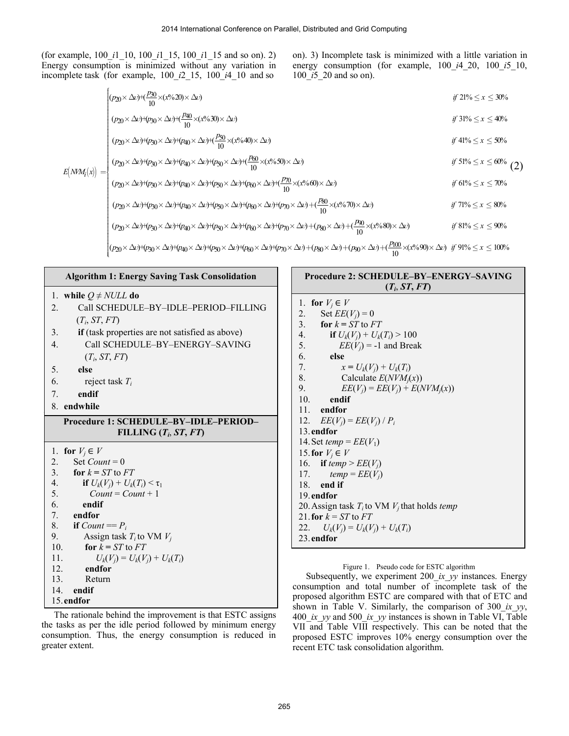(for example, 100\_*i*1\_10, 100\_*i*1\_15, 100\_*i*1\_15 and so on). 2) Energy consumption is minimized without any variation incomplete task (for example,  $100$ <sup> $i$ 2</sup> $-15$ ,  $100$ <sup> $i$ </sup> $-10$ 

ation in energy consumption (for example, 
$$
100_i/420
$$
,  $100_i/510$ , and so  $100_i/520$  and so on).

on). 3) Incomplete task is minimized with a little variation in

$$
(p_{20} \times \Delta v) + (\frac{p_{30}}{10} \times (x\%20) \times \Delta v)
$$
  
\n
$$
(p_{20} \times \Delta v) + (p_{30} \times \Delta v) + (\frac{p_{40}}{10} \times (x\%30) \times \Delta v)
$$
  
\n
$$
(p_{20} \times \Delta v) + (p_{30} \times \Delta v) + (p_{40} \times \Delta v) + (\frac{p_{50}}{10} \times (x\%40) \times \Delta v)
$$
  
\nif 31%  $\leq x \leq 40\%$   
\nif 41%  $\leq x \leq 50\%$ 

$$
E\left(NM_i(x)\right) = \begin{cases} (p_{20} \times \Delta v) + (p_{30} \times \Delta v) + (p_{40} \times \Delta v) + (p_{50} \times \Delta v) + \frac{p_{60}}{10} \times (x^6 \cdot 50) \times \Delta v) & \text{if } 51\% \leq x \leq 60\% \\ (p_{20} \times \Delta v) + (p_{30} \times \Delta v) + (p_{40} \times \Delta v) + (p_{50} \times \Delta v) + (p_{60} \times \Delta v) + \frac{p_{70}}{10} \times (x^6 \cdot 60) \times \Delta v) & \text{if } 61\% \leq x \leq 70\% \\ (p_{20} \times \Delta v) + (p_{30} \times \Delta v) + (p_{40} \times \Delta v) + (p_{50} \times \Delta v) + (p_{60} \times \Delta v) + (p_{70} \times \Delta v) + \frac{p_{80}}{10} \times (x^6 \cdot 70) \times \Delta v) & \text{if } 71\% \leq x \leq 80\% \end{cases}
$$

$$
(p_{20} \times \Delta v) + (p_{30} \times \Delta v) + (p_{40} \times \Delta v) + (p_{50} \times \Delta v) + (p_{60} \times \Delta v) + (p_{70} \times \Delta v) + (p_{80} \times \Delta v) + (\frac{p_{90}}{10} \times (x^6 \cdot 80) \times \Delta v) \qquad \text{if } 81\% \leq x \leq 90\%
$$

 $\begin{cases} 0 & 10 \\ (p_{20} \times \Delta \nu) + (p_{30} \times \Delta \nu) + (p_{40} \times \Delta \nu) + (p_{50} \times \Delta \nu) + (p_{60} \times \Delta \nu) + (p_{70} \times \Delta \nu) + (p_{80} \times \Delta \nu) + (p_{90} \times \Delta \nu) + (\frac{p_{100}}{10} \times (\mathfrak{c} \ell \gamma \cdot 90) \times \Delta \nu) & \text{if } 91\% \leq x \leq 100\% \end{cases}$ 

# **Algorithm 1: Energy Saving Task Consolidation**

|  | 1. while $Q \neq NULL$ do |  |  |  |
|--|---------------------------|--|--|--|
|--|---------------------------|--|--|--|

¦ ¦ ¦ ¦ ¦ ¦

- 2.Call SCHEDULE–BY–IDLE–PERIOD–FILLING  $(T_i, ST, FT)$
- 3. **if** (task properties are not satisfied as above)
- 4. Call SCHEDULE–BY–ENERGY–SAVING (*Ti*, *ST*, *FT*)
- 5. **else**
- 6.reject task *Ti*
- 7. **endif**
- 8. **endwhile**

# **Procedure 1: SCHEDULE–BY–IDLE–PERIOD–**  $FILLING$   $(T_i, ST, FT)$

|     | 1. for $V_i \in V$                |
|-----|-----------------------------------|
| 2.  | Set Count = $0$                   |
|     | 3. for $k = ST$ to $FT$           |
| 4.  | if $U_k(V_i) + U_k(T_i) < \tau_1$ |
| 5.  | $Count = Count + 1$               |
| 6.  | endif                             |
|     | 7. endfor                         |
|     | 8. if $Count == P_i$              |
| 9.  | Assign task $T_i$ to VM $V_i$     |
| 10. | for $k = ST$ to $FT$              |
| 11. | $U_k(V_i) = U_k(V_i) + U_k(T_i)$  |
| 12. | endfor                            |
| 13. | Return                            |
|     | 14. endif                         |
|     | 15 endfor                         |
|     |                                   |

The rationale behind the improvement is that ESTC assigns the tasks as per the idle period followed by minimum energy consumption. Thus, the energy consumption is reduced in greater extent.

# **Procedure 2: SCHEDULE–BY–ENERGY–SAVING**   $(T_i, ST, FT)$

| 1. for $V_i \in V$                                |
|---------------------------------------------------|
| 2. Set $EE(V_i) = 0$                              |
| 3. for $k = ST$ to $FT$                           |
| 4.<br>if $U_k(V_i) + U_k(T_i) > 100$              |
| 5.<br>$EE(V_i) = -1$ and Break                    |
| 6.<br>else                                        |
| 7.<br>$x = U_k(V_i) + U_k(T_i)$                   |
| 8.<br>Calculate $E(NVMi(x))$                      |
| 9.<br>$EE(V_i) = EE(V_i) + E(NVM_i(x))$           |
| 10.<br>endif                                      |
| 11. endfor                                        |
| 12. $EE(V_i) = EE(V_i) / P_i$                     |
| 13. endfor                                        |
| 14. Set temp = $EE(V_1)$                          |
| 15. for $V_i \in V$                               |
| 16. if temp > $EE(V_i)$                           |
| 17.<br>$temp = EE(V_i)$                           |
| $18.$ end if                                      |
| 19. endfor                                        |
| 20. Assign task $T_i$ to VM $V_i$ that holds temp |
| 21. for $k = ST$ to $FT$                          |
| 22. $U_k(V_i) = U_k(V_i) + U_k(T_i)$              |
| 23. endfor                                        |
|                                                   |

Figure 1. Pseudo code for ESTC algorithm

Subsequently, we experiment 200\_*ix*\_*yy* instances. Energy consumption and total number of incomplete task of the proposed algorithm ESTC are compared with that of ETC and shown in Table V. Similarly, the comparison of 300\_*ix*\_*yy*, 400\_*ix*\_*yy* and 500\_*ix*\_*yy* instances is shown in Table VI, Table VII and Table VIII respectively. This can be noted that the proposed ESTC improves 10% energy consumption over the recent ETC task consolidation algorithm.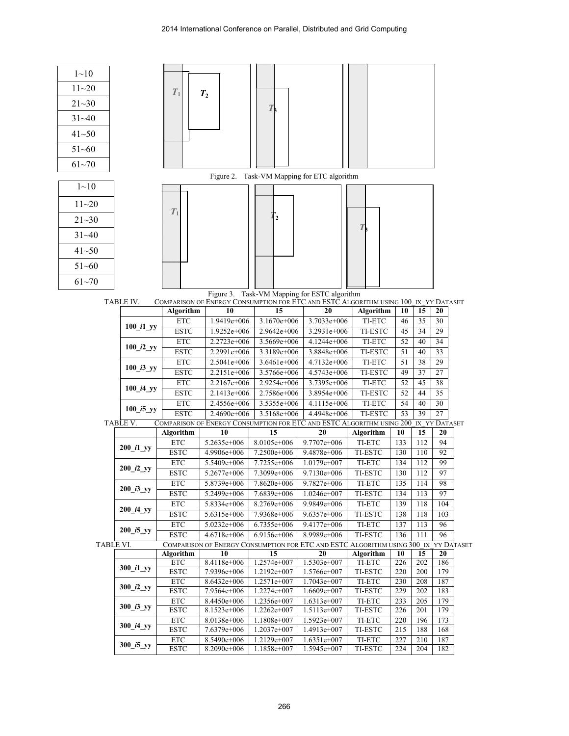| $1 - 10$           |                                        |                              |                            |                                                                                           |                            |                     |            |            |                 |  |
|--------------------|----------------------------------------|------------------------------|----------------------------|-------------------------------------------------------------------------------------------|----------------------------|---------------------|------------|------------|-----------------|--|
| $11 - 20$          |                                        |                              |                            |                                                                                           |                            |                     |            |            |                 |  |
|                    |                                        | $T_1$                        | $T_{2}$                    |                                                                                           |                            |                     |            |            |                 |  |
| $21 - 30$          |                                        |                              |                            | $T_{\rm b}$                                                                               |                            |                     |            |            |                 |  |
| $31 - 40$          |                                        |                              |                            |                                                                                           |                            |                     |            |            |                 |  |
| $41 - 50$          |                                        |                              |                            |                                                                                           |                            |                     |            |            |                 |  |
| $51 - 60$          |                                        |                              |                            |                                                                                           |                            |                     |            |            |                 |  |
| $61 - 70$          |                                        |                              |                            |                                                                                           |                            |                     |            |            |                 |  |
|                    |                                        |                              |                            | Figure 2. Task-VM Mapping for ETC algorithm                                               |                            |                     |            |            |                 |  |
| $\overline{1}$ ~10 |                                        |                              |                            |                                                                                           |                            |                     |            |            |                 |  |
| $11 - 20$          |                                        |                              |                            |                                                                                           |                            |                     |            |            |                 |  |
| $21 - 30$          |                                        | $T_1$                        |                            | $\overline{\mathbf{2}}$                                                                   |                            |                     |            |            |                 |  |
| $31 - 40$          |                                        |                              |                            |                                                                                           |                            | $T_{\rm}$           |            |            |                 |  |
| $41 - 50$          |                                        |                              |                            |                                                                                           |                            |                     |            |            |                 |  |
| $51 - 60$          |                                        |                              |                            |                                                                                           |                            |                     |            |            |                 |  |
| $61 - 70$          |                                        |                              |                            |                                                                                           |                            |                     |            |            |                 |  |
|                    |                                        |                              |                            | Figure 3. Task-VM Mapping for ESTC algorithm                                              |                            |                     |            |            |                 |  |
|                    | TABLE IV.                              |                              |                            | COMPARISON OF ENERGY CONSUMPTION FOR ETC AND ESTC ALGORITHM USING 100_IX_YY DATASET       |                            |                     |            |            |                 |  |
|                    |                                        | Algorithm                    | 10                         | 15                                                                                        | 20                         | <b>Algorithm</b>    | 10         | 15         | 20              |  |
|                    | $100$ il yy                            | <b>ETC</b>                   | 1.9419e+006                | 3.1670e+006                                                                               | 3.7033e+006                | TI-ETC              | 46         | 35         | 30              |  |
|                    |                                        | <b>ESTC</b>                  | 1.9252e+006                | 2.9642e+006                                                                               | 3.2931e+006                | TI-ESTC             | 45         | 34         | 29              |  |
|                    | $100$ <sup><math>i2</math></sup> $y$   | <b>ETC</b><br><b>ESTC</b>    | 2.2723e+006<br>2.2991e+006 | 3.5669e+006<br>3.3189e+006                                                                | 4.1244e+006<br>3.8848e+006 | TI-ETC<br>TI-ESTC   | 52<br>51   | 40<br>40   | 34<br>33        |  |
|                    |                                        | <b>ETC</b>                   | 2.5041e+006                | 3.6461e+006                                                                               | 4.7132e+006                | TI-ETC              | 51         | 38         | 29              |  |
|                    | $100$ <sup><math>13</math></sup> yy    | <b>ESTC</b>                  | 2.2151e+006                | 3.5766e+006                                                                               | 4.5743e+006                | <b>TI-ESTC</b>      | 49         | 37         | 27              |  |
|                    |                                        | <b>ETC</b>                   | 2.2167e+006                | 2.9254e+006                                                                               | 3.7395e+006                | TI-ETC              | 52         | 45         | 38              |  |
|                    | $100$ <sup><math>i4</math></sup> $y$ y | <b>ESTC</b>                  | 2.1413e+006                | 2.7586e+006                                                                               | 3.8954e+006                | TI-ESTC             | 52         | 44         | $\overline{35}$ |  |
|                    | 100 i5 yy                              | <b>ETC</b>                   | 2.4556e+006                | 3.5355e+006                                                                               | 4.1115e+006                | TI-ETC              | 54         | 40         | $30\,$          |  |
|                    |                                        | <b>ESTC</b>                  | 2.4690e+006                | 3.5168e+006                                                                               | 4.4948e+006                | <b>TI-ESTC</b>      | 53         | 39         | 27              |  |
|                    | <b>TABLE V.</b>                        |                              |                            | COMPARISON OF ENERGY CONSUMPTION FOR ETC AND ESTC ALGORITHM USING 200 IX YY DATASET       |                            |                     |            |            |                 |  |
|                    |                                        | Algorithm<br><b>ETC</b>      | 10<br>5.2635e+006          | 15<br>8.0105e+006                                                                         | 20<br>9.7707e+006          | Algorithm<br>TI-ETC | 10<br>133  | 15<br>112  | 20<br>94        |  |
|                    | $200$ il yy                            | $\ensuremath{\textit{ESTC}}$ | 4.9906e+006                | 7.2500e+006                                                                               | 9.4878e+006                | TI-ESTC             | 130        | 110        | 92              |  |
|                    |                                        | $\operatorname{ETC}$         | 5.5409e+006                | 7.7255e+006                                                                               | 1.0179e+007                | TI-ETC              | 134        | 112        | 99              |  |
|                    | $200$ <sup><math>i2</math></sup> $y$   | <b>ESTC</b>                  | $5.2677e+006$              | 7.3099e+006                                                                               | $9.7130e + 006$            | TI-ESTC             | 130        | 112        | 97              |  |
|                    |                                        | ETC                          | 5.8739e+006                | 7.8620e+006                                                                               | 9.7827e+006                | TI-ETC              | 135        | 114        | 98              |  |
|                    | $200$ <sup><math>i3</math></sup> yy    | $\ensuremath{\textit{ESTC}}$ | 5.2499e+006                | 7.6839e+006                                                                               | 1.0246e+007                | TI-ESTC             | 134        | 113        | 97              |  |
|                    | $200$ $i4$ yy                          | $\ensuremath{\text{ETC}}$    | 5.8334e+006                | 8.2769e+006                                                                               | 9.9849e+006                | TI-ETC              | 139        | 118        | 104             |  |
|                    |                                        | <b>ESTC</b>                  | 5.6315e+006                | 7.9368e+006                                                                               | 9.6357e+006                | TI-ESTC             | 138        | 118        | 103             |  |
|                    | 200 i5 yy                              | <b>ETC</b>                   | 5.0232e+006                | 6.7355e+006                                                                               | 9.4177e+006                | TI-ETC              | 137        | 113        | 96              |  |
|                    |                                        | $\ensuremath{\textit{ESTC}}$ | 4.6718e+006                | 6.9156e+006                                                                               | 8.9989e+006                | <b>TI-ESTC</b>      | 136        | 111        | 96              |  |
| <b>TABLE VI.</b>   |                                        | Algorithm                    | 10                         | COMPARISON OF ENERGY CONSUMPTION FOR ETC AND ESTC ALGORITHM USING 300 IX YY DATASET<br>15 | 20                         | Algorithm           | 10         | 15         | 20              |  |
|                    |                                        | <b>ETC</b>                   | 8.4118e+006                | 1.2574e+007                                                                               | 1.5303e+007                | TI-ETC              | 226        | 202        | 186             |  |
|                    | $300$ il yy                            | <b>ESTC</b>                  | 7.9396e+006                | 1.2192e+007                                                                               | 1.5766e+007                | TI-ESTC             | 220        | 200        | 179             |  |
|                    |                                        | ETC                          | 8.6432e+006                | 1.2571e+007                                                                               | 1.7043e+007                | TI-ETC              | 230        | 208        | 187             |  |
|                    | 300 $i2$ yy                            | <b>ESTC</b>                  | 7.9564e+006                | 1.2274e+007                                                                               | 1.6609e+007                | TI-ESTC             | 229        | 202        | 183             |  |
|                    | $300$ <sup><math>13</math></sup> yy    | <b>ETC</b>                   | 8.4450e+006                | 1.2356e+007                                                                               | 1.6313e+007                | TI-ETC              | 233        | 205        | 179<br>179      |  |
|                    |                                        | <b>ESTC</b><br><b>ETC</b>    | 8.1523e+006<br>8.0138e+006 | 1.2262e+007<br>1.1808e+007                                                                | 1.5113e+007<br>1.5923e+007 | TI-ESTC<br>TI-ETC   | 226<br>220 | 201<br>196 | 173             |  |
|                    | $300$ _ $i4$ _yy                       | <b>ESTC</b>                  | 7.6379e+006                | 1.2037e+007                                                                               | 1.4913e+007                | TI-ESTC             | 215        | 188        | 168             |  |
|                    |                                        | ETC                          | 8.5490e+006                | 1.2129e+007                                                                               | $1.6351e+007$              | TI-ETC              | 227        | 210        | 187             |  |
|                    | $300$ <sup><math>i5</math></sup> yy    | $\ensuremath{\textit{ESTC}}$ | 8.2090e+006                | 1.1858e+007                                                                               | 1.5945e+007                | TI-ESTC             | 224        | 204        | 182             |  |